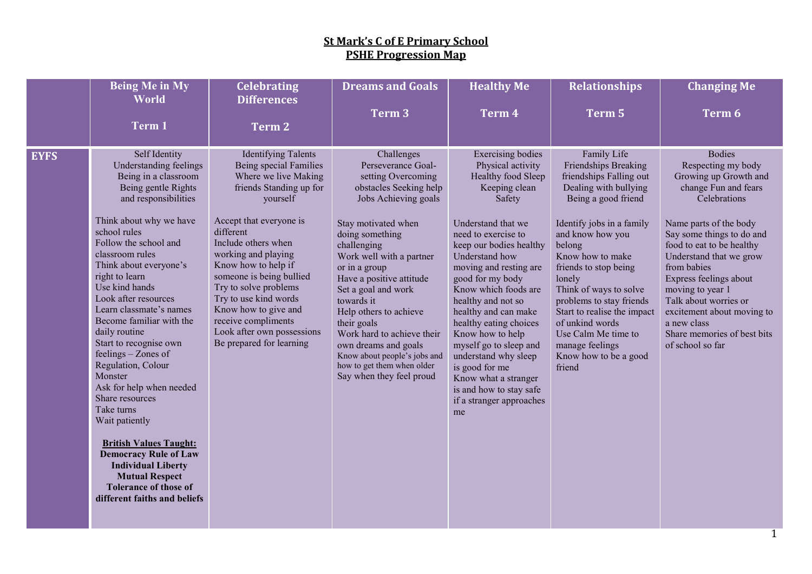|             | <b>Being Me in My</b><br>World                                                                                                                                                                                                                                                                                                                                                                                                                                                                                                                                                                                                                                                                                              | <b>Celebrating</b><br><b>Differences</b>                                                                                                                                                                                                                                                                                                                                                                                | <b>Dreams and Goals</b>                                                                                                                                                                                                                                                                                                                                                                                                                                                  | <b>Healthy Me</b>                                                                                                                                                                                                                                                                                                                                                                                                                                                                                                   | <b>Relationships</b>                                                                                                                                                                                                                                                                                                                                                                                                  | <b>Changing Me</b>                                                                                                                                                                                                                                                                                                                                                                                        |
|-------------|-----------------------------------------------------------------------------------------------------------------------------------------------------------------------------------------------------------------------------------------------------------------------------------------------------------------------------------------------------------------------------------------------------------------------------------------------------------------------------------------------------------------------------------------------------------------------------------------------------------------------------------------------------------------------------------------------------------------------------|-------------------------------------------------------------------------------------------------------------------------------------------------------------------------------------------------------------------------------------------------------------------------------------------------------------------------------------------------------------------------------------------------------------------------|--------------------------------------------------------------------------------------------------------------------------------------------------------------------------------------------------------------------------------------------------------------------------------------------------------------------------------------------------------------------------------------------------------------------------------------------------------------------------|---------------------------------------------------------------------------------------------------------------------------------------------------------------------------------------------------------------------------------------------------------------------------------------------------------------------------------------------------------------------------------------------------------------------------------------------------------------------------------------------------------------------|-----------------------------------------------------------------------------------------------------------------------------------------------------------------------------------------------------------------------------------------------------------------------------------------------------------------------------------------------------------------------------------------------------------------------|-----------------------------------------------------------------------------------------------------------------------------------------------------------------------------------------------------------------------------------------------------------------------------------------------------------------------------------------------------------------------------------------------------------|
|             | Term 1                                                                                                                                                                                                                                                                                                                                                                                                                                                                                                                                                                                                                                                                                                                      | <b>Term 2</b>                                                                                                                                                                                                                                                                                                                                                                                                           | Term 3                                                                                                                                                                                                                                                                                                                                                                                                                                                                   | Term 4                                                                                                                                                                                                                                                                                                                                                                                                                                                                                                              | Term 5                                                                                                                                                                                                                                                                                                                                                                                                                | Term 6                                                                                                                                                                                                                                                                                                                                                                                                    |
|             |                                                                                                                                                                                                                                                                                                                                                                                                                                                                                                                                                                                                                                                                                                                             |                                                                                                                                                                                                                                                                                                                                                                                                                         |                                                                                                                                                                                                                                                                                                                                                                                                                                                                          |                                                                                                                                                                                                                                                                                                                                                                                                                                                                                                                     |                                                                                                                                                                                                                                                                                                                                                                                                                       |                                                                                                                                                                                                                                                                                                                                                                                                           |
| <b>EYFS</b> | Self Identity<br>Understanding feelings<br>Being in a classroom<br>Being gentle Rights<br>and responsibilities<br>Think about why we have<br>school rules<br>Follow the school and<br>classroom rules<br>Think about everyone's<br>right to learn<br>Use kind hands<br>Look after resources<br>Learn classmate's names<br>Become familiar with the<br>daily routine<br>Start to recognise own<br>feelings - Zones of<br>Regulation, Colour<br>Monster<br>Ask for help when needed<br>Share resources<br>Take turns<br>Wait patiently<br><b>British Values Taught:</b><br><b>Democracy Rule of Law</b><br><b>Individual Liberty</b><br><b>Mutual Respect</b><br><b>Tolerance of those of</b><br>different faiths and beliefs | <b>Identifying Talents</b><br>Being special Families<br>Where we live Making<br>friends Standing up for<br>yourself<br>Accept that everyone is<br>different<br>Include others when<br>working and playing<br>Know how to help if<br>someone is being bullied<br>Try to solve problems<br>Try to use kind words<br>Know how to give and<br>receive compliments<br>Look after own possessions<br>Be prepared for learning | Challenges<br>Perseverance Goal-<br>setting Overcoming<br>obstacles Seeking help<br>Jobs Achieving goals<br>Stay motivated when<br>doing something<br>challenging<br>Work well with a partner<br>or in a group<br>Have a positive attitude<br>Set a goal and work<br>towards it<br>Help others to achieve<br>their goals<br>Work hard to achieve their<br>own dreams and goals<br>Know about people's jobs and<br>how to get them when older<br>Say when they feel proud | <b>Exercising bodies</b><br>Physical activity<br>Healthy food Sleep<br>Keeping clean<br>Safety<br>Understand that we<br>need to exercise to<br>keep our bodies healthy<br>Understand how<br>moving and resting are<br>good for my body<br>Know which foods are<br>healthy and not so<br>healthy and can make<br>healthy eating choices<br>Know how to help<br>myself go to sleep and<br>understand why sleep<br>is good for me<br>Know what a stranger<br>is and how to stay safe<br>if a stranger approaches<br>me | Family Life<br>Friendships Breaking<br>friendships Falling out<br>Dealing with bullying<br>Being a good friend<br>Identify jobs in a family<br>and know how you<br>belong<br>Know how to make<br>friends to stop being<br>lonely<br>Think of ways to solve<br>problems to stay friends<br>Start to realise the impact<br>of unkind words<br>Use Calm Me time to<br>manage feelings<br>Know how to be a good<br>friend | <b>Bodies</b><br>Respecting my body<br>Growing up Growth and<br>change Fun and fears<br>Celebrations<br>Name parts of the body<br>Say some things to do and<br>food to eat to be healthy<br>Understand that we grow<br>from babies<br>Express feelings about<br>moving to year 1<br>Talk about worries or<br>excitement about moving to<br>a new class<br>Share memories of best bits<br>of school so far |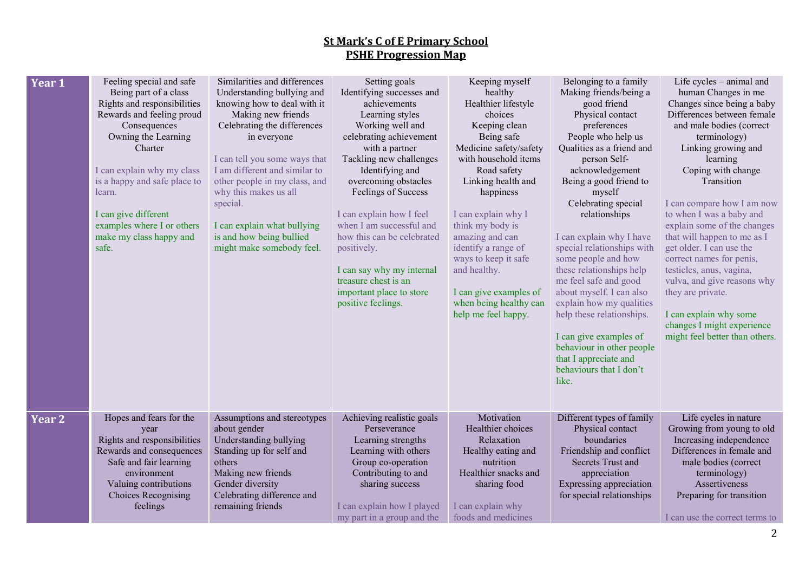| Year 1 | Feeling special and safe<br>Being part of a class<br>Rights and responsibilities<br>Rewards and feeling proud<br>Consequences<br>Owning the Learning<br>Charter<br>I can explain why my class<br>is a happy and safe place to<br>learn.<br>I can give different<br>examples where I or others<br>make my class happy and<br>safe. | Similarities and differences<br>Understanding bullying and<br>knowing how to deal with it<br>Making new friends<br>Celebrating the differences<br>in everyone<br>I can tell you some ways that<br>I am different and similar to<br>other people in my class, and<br>why this makes us all<br>special.<br>I can explain what bullying<br>is and how being bullied<br>might make somebody feel. | Setting goals<br>Identifying successes and<br>achievements<br>Learning styles<br>Working well and<br>celebrating achievement<br>with a partner<br>Tackling new challenges<br>Identifying and<br>overcoming obstacles<br>Feelings of Success<br>I can explain how I feel<br>when I am successful and<br>how this can be celebrated<br>positively.<br>I can say why my internal<br>treasure chest is an<br>important place to store<br>positive feelings. | Keeping myself<br>healthy<br>Healthier lifestyle<br>choices<br>Keeping clean<br>Being safe<br>Medicine safety/safety<br>with household items<br>Road safety<br>Linking health and<br>happiness<br>I can explain why I<br>think my body is<br>amazing and can<br>identify a range of<br>ways to keep it safe<br>and healthy.<br>I can give examples of<br>when being healthy can<br>help me feel happy. | Belonging to a family<br>Making friends/being a<br>good friend<br>Physical contact<br>preferences<br>People who help us<br>Qualities as a friend and<br>person Self-<br>acknowledgement<br>Being a good friend to<br>myself<br>Celebrating special<br>relationships<br>I can explain why I have<br>special relationships with<br>some people and how<br>these relationships help<br>me feel safe and good<br>about myself. I can also<br>explain how my qualities<br>help these relationships.<br>I can give examples of<br>behaviour in other people<br>that I appreciate and<br>behaviours that I don't<br>like. | Life cycles - animal and<br>human Changes in me<br>Changes since being a baby<br>Differences between female<br>and male bodies (correct<br>terminology)<br>Linking growing and<br>learning<br>Coping with change<br>Transition<br>I can compare how I am now<br>to when I was a baby and<br>explain some of the changes<br>that will happen to me as I<br>get older. I can use the<br>correct names for penis,<br>testicles, anus, vagina,<br>vulva, and give reasons why<br>they are private.<br>I can explain why some<br>changes I might experience<br>might feel better than others. |
|--------|-----------------------------------------------------------------------------------------------------------------------------------------------------------------------------------------------------------------------------------------------------------------------------------------------------------------------------------|-----------------------------------------------------------------------------------------------------------------------------------------------------------------------------------------------------------------------------------------------------------------------------------------------------------------------------------------------------------------------------------------------|---------------------------------------------------------------------------------------------------------------------------------------------------------------------------------------------------------------------------------------------------------------------------------------------------------------------------------------------------------------------------------------------------------------------------------------------------------|--------------------------------------------------------------------------------------------------------------------------------------------------------------------------------------------------------------------------------------------------------------------------------------------------------------------------------------------------------------------------------------------------------|--------------------------------------------------------------------------------------------------------------------------------------------------------------------------------------------------------------------------------------------------------------------------------------------------------------------------------------------------------------------------------------------------------------------------------------------------------------------------------------------------------------------------------------------------------------------------------------------------------------------|------------------------------------------------------------------------------------------------------------------------------------------------------------------------------------------------------------------------------------------------------------------------------------------------------------------------------------------------------------------------------------------------------------------------------------------------------------------------------------------------------------------------------------------------------------------------------------------|
| Year 2 | Hopes and fears for the<br>year<br>Rights and responsibilities<br>Rewards and consequences<br>Safe and fair learning<br>environment<br>Valuing contributions<br>Choices Recognising<br>feelings                                                                                                                                   | Assumptions and stereotypes<br>about gender<br>Understanding bullying<br>Standing up for self and<br>others<br>Making new friends<br>Gender diversity<br>Celebrating difference and<br>remaining friends                                                                                                                                                                                      | Achieving realistic goals<br>Perseverance<br>Learning strengths<br>Learning with others<br>Group co-operation<br>Contributing to and<br>sharing success<br>I can explain how I played<br>my part in a group and the                                                                                                                                                                                                                                     | Motivation<br>Healthier choices<br>Relaxation<br>Healthy eating and<br>nutrition<br>Healthier snacks and<br>sharing food<br>I can explain why<br>foods and medicines                                                                                                                                                                                                                                   | Different types of family<br>Physical contact<br>boundaries<br>Friendship and conflict<br>Secrets Trust and<br>appreciation<br>Expressing appreciation<br>for special relationships                                                                                                                                                                                                                                                                                                                                                                                                                                | Life cycles in nature<br>Growing from young to old<br>Increasing independence<br>Differences in female and<br>male bodies (correct<br>terminology)<br>Assertiveness<br>Preparing for transition<br>I can use the correct terms to                                                                                                                                                                                                                                                                                                                                                        |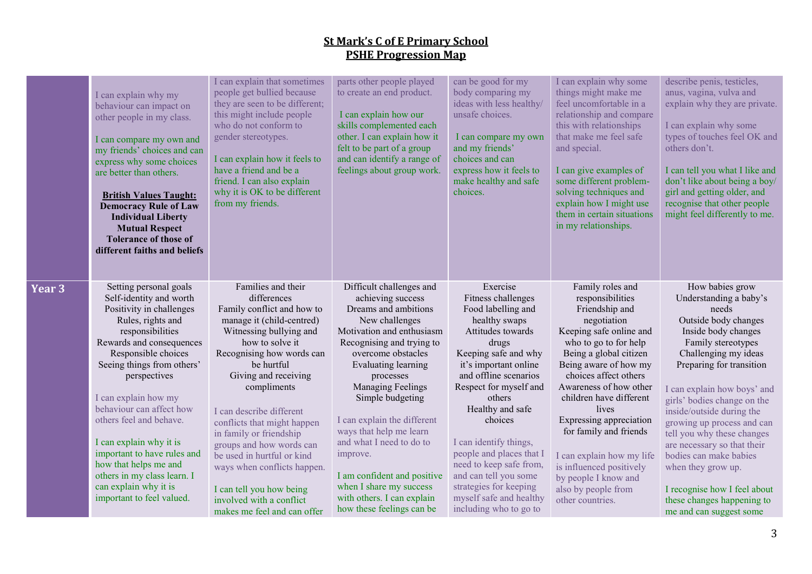|        | I can explain why my<br>behaviour can impact on<br>other people in my class.<br>I can compare my own and<br>my friends' choices and can<br>express why some choices<br>are better than others.<br><b>British Values Taught:</b><br><b>Democracy Rule of Law</b><br><b>Individual Liberty</b><br><b>Mutual Respect</b><br><b>Tolerance of those of</b><br>different faiths and beliefs                                                                                          | I can explain that sometimes<br>people get bullied because<br>they are seen to be different;<br>this might include people<br>who do not conform to<br>gender stereotypes.<br>I can explain how it feels to<br>have a friend and be a<br>friend. I can also explain<br>why it is OK to be different<br>from my friends.                                                                                                                                                                             | parts other people played<br>to create an end product.<br>I can explain how our<br>skills complemented each<br>other. I can explain how it<br>felt to be part of a group<br>and can identify a range of<br>feelings about group work.                                                                                                                                                                                                                                       | can be good for my<br>body comparing my<br>ideas with less healthy/<br>unsafe choices.<br>I can compare my own<br>and my friends'<br>choices and can<br>express how it feels to<br>make healthy and safe<br>choices.                                                                                                                                                                                                                      | I can explain why some<br>things might make me<br>feel uncomfortable in a<br>relationship and compare<br>this with relationships<br>that make me feel safe<br>and special.<br>I can give examples of<br>some different problem-<br>solving techniques and<br>explain how I might use<br>them in certain situations<br>in my relationships.                                                                                                           | describe penis, testicles,<br>anus, vagina, vulva and<br>explain why they are private.<br>I can explain why some<br>types of touches feel OK and<br>others don't.<br>I can tell you what I like and<br>don't like about being a boy/<br>girl and getting older, and<br>recognise that other people<br>might feel differently to me.                                                                                                                                                                        |
|--------|--------------------------------------------------------------------------------------------------------------------------------------------------------------------------------------------------------------------------------------------------------------------------------------------------------------------------------------------------------------------------------------------------------------------------------------------------------------------------------|----------------------------------------------------------------------------------------------------------------------------------------------------------------------------------------------------------------------------------------------------------------------------------------------------------------------------------------------------------------------------------------------------------------------------------------------------------------------------------------------------|-----------------------------------------------------------------------------------------------------------------------------------------------------------------------------------------------------------------------------------------------------------------------------------------------------------------------------------------------------------------------------------------------------------------------------------------------------------------------------|-------------------------------------------------------------------------------------------------------------------------------------------------------------------------------------------------------------------------------------------------------------------------------------------------------------------------------------------------------------------------------------------------------------------------------------------|------------------------------------------------------------------------------------------------------------------------------------------------------------------------------------------------------------------------------------------------------------------------------------------------------------------------------------------------------------------------------------------------------------------------------------------------------|------------------------------------------------------------------------------------------------------------------------------------------------------------------------------------------------------------------------------------------------------------------------------------------------------------------------------------------------------------------------------------------------------------------------------------------------------------------------------------------------------------|
| Year 3 | Setting personal goals<br>Self-identity and worth<br>Positivity in challenges<br>Rules, rights and<br>responsibilities<br>Rewards and consequences<br>Responsible choices<br>Seeing things from others'<br>perspectives<br>I can explain how my<br>behaviour can affect how<br>others feel and behave.<br>I can explain why it is<br>important to have rules and<br>how that helps me and<br>others in my class learn. I<br>can explain why it is<br>important to feel valued. | Families and their<br>differences<br>Family conflict and how to<br>manage it (child-centred)<br>Witnessing bullying and<br>how to solve it<br>Recognising how words can<br>be hurtful<br>Giving and receiving<br>compliments<br>I can describe different<br>conflicts that might happen<br>in family or friendship<br>groups and how words can<br>be used in hurtful or kind<br>ways when conflicts happen.<br>I can tell you how being<br>involved with a conflict<br>makes me feel and can offer | Difficult challenges and<br>achieving success<br>Dreams and ambitions<br>New challenges<br>Motivation and enthusiasm<br>Recognising and trying to<br>overcome obstacles<br>Evaluating learning<br>processes<br>Managing Feelings<br>Simple budgeting<br>I can explain the different<br>ways that help me learn<br>and what I need to do to<br>improve.<br>I am confident and positive<br>when I share my success<br>with others. I can explain<br>how these feelings can be | Exercise<br>Fitness challenges<br>Food labelling and<br>healthy swaps<br>Attitudes towards<br>drugs<br>Keeping safe and why<br>it's important online<br>and offline scenarios<br>Respect for myself and<br>others<br>Healthy and safe<br>choices<br>I can identify things,<br>people and places that I<br>need to keep safe from,<br>and can tell you some<br>strategies for keeping<br>myself safe and healthy<br>including who to go to | Family roles and<br>responsibilities<br>Friendship and<br>negotiation<br>Keeping safe online and<br>who to go to for help<br>Being a global citizen<br>Being aware of how my<br>choices affect others<br>Awareness of how other<br>children have different<br>lives<br>Expressing appreciation<br>for family and friends<br>I can explain how my life<br>is influenced positively<br>by people I know and<br>also by people from<br>other countries. | How babies grow<br>Understanding a baby's<br>needs<br>Outside body changes<br>Inside body changes<br>Family stereotypes<br>Challenging my ideas<br>Preparing for transition<br>I can explain how boys' and<br>girls' bodies change on the<br>inside/outside during the<br>growing up process and can<br>tell you why these changes<br>are necessary so that their<br>bodies can make babies<br>when they grow up.<br>I recognise how I feel about<br>these changes happening to<br>me and can suggest some |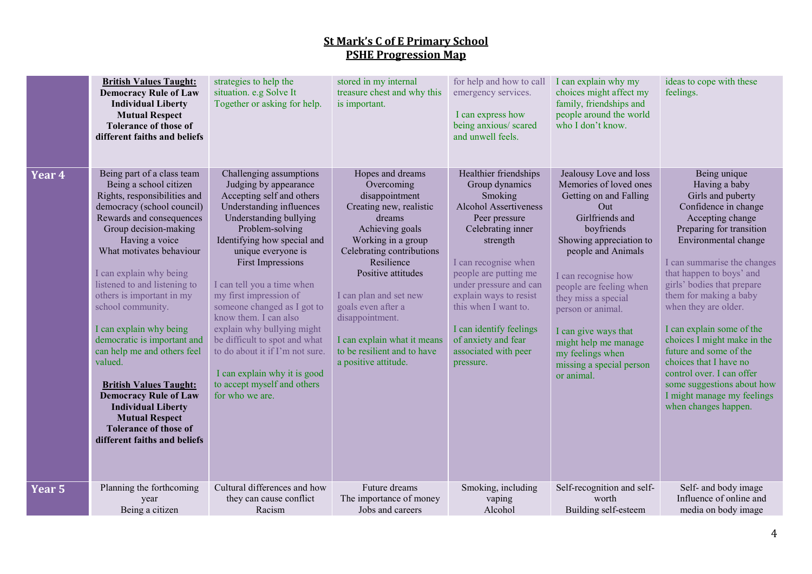|               | <b>British Values Taught:</b><br><b>Democracy Rule of Law</b><br><b>Individual Liberty</b><br><b>Mutual Respect</b><br><b>Tolerance of those of</b><br>different faiths and beliefs                                                                                                                                                                                                                                                                                                                                                                                                                                           | strategies to help the<br>situation. e.g Solve It<br>Together or asking for help.                                                                                                                                                                                                                                                                                                                                                                                                                                                           | stored in my internal<br>treasure chest and why this<br>is important.                                                                                                                                                                                                                                                                                    | for help and how to call<br>emergency services.<br>I can express how<br>being anxious/ scared<br>and unwell feels.                                                                                                                                                                                                                                | I can explain why my<br>choices might affect my<br>family, friendships and<br>people around the world<br>who I don't know.                                                                                                                                                                                                                                                      | ideas to cope with these<br>feelings.                                                                                                                                                                                                                                                                                                                                                                                                                                                                                          |
|---------------|-------------------------------------------------------------------------------------------------------------------------------------------------------------------------------------------------------------------------------------------------------------------------------------------------------------------------------------------------------------------------------------------------------------------------------------------------------------------------------------------------------------------------------------------------------------------------------------------------------------------------------|---------------------------------------------------------------------------------------------------------------------------------------------------------------------------------------------------------------------------------------------------------------------------------------------------------------------------------------------------------------------------------------------------------------------------------------------------------------------------------------------------------------------------------------------|----------------------------------------------------------------------------------------------------------------------------------------------------------------------------------------------------------------------------------------------------------------------------------------------------------------------------------------------------------|---------------------------------------------------------------------------------------------------------------------------------------------------------------------------------------------------------------------------------------------------------------------------------------------------------------------------------------------------|---------------------------------------------------------------------------------------------------------------------------------------------------------------------------------------------------------------------------------------------------------------------------------------------------------------------------------------------------------------------------------|--------------------------------------------------------------------------------------------------------------------------------------------------------------------------------------------------------------------------------------------------------------------------------------------------------------------------------------------------------------------------------------------------------------------------------------------------------------------------------------------------------------------------------|
| Year 4        | Being part of a class team<br>Being a school citizen<br>Rights, responsibilities and<br>democracy (school council)<br>Rewards and consequences<br>Group decision-making<br>Having a voice<br>What motivates behaviour<br>I can explain why being<br>listened to and listening to<br>others is important in my<br>school community.<br>I can explain why being<br>democratic is important and<br>can help me and others feel<br>valued.<br><b>British Values Taught:</b><br><b>Democracy Rule of Law</b><br><b>Individual Liberty</b><br><b>Mutual Respect</b><br><b>Tolerance of those of</b><br>different faiths and beliefs | Challenging assumptions<br>Judging by appearance<br>Accepting self and others<br>Understanding influences<br>Understanding bullying<br>Problem-solving<br>Identifying how special and<br>unique everyone is<br><b>First Impressions</b><br>I can tell you a time when<br>my first impression of<br>someone changed as I got to<br>know them. I can also<br>explain why bullying might<br>be difficult to spot and what<br>to do about it if I'm not sure.<br>I can explain why it is good<br>to accept myself and others<br>for who we are. | Hopes and dreams<br>Overcoming<br>disappointment<br>Creating new, realistic<br>dreams<br>Achieving goals<br>Working in a group<br>Celebrating contributions<br>Resilience<br>Positive attitudes<br>I can plan and set new<br>goals even after a<br>disappointment.<br>I can explain what it means<br>to be resilient and to have<br>a positive attitude. | Healthier friendships<br>Group dynamics<br>Smoking<br>Alcohol Assertiveness<br>Peer pressure<br>Celebrating inner<br>strength<br>I can recognise when<br>people are putting me<br>under pressure and can<br>explain ways to resist<br>this when I want to.<br>I can identify feelings<br>of anxiety and fear<br>associated with peer<br>pressure. | Jealousy Love and loss<br>Memories of loved ones<br>Getting on and Falling<br>Out<br>Girlfriends and<br>boyfriends<br>Showing appreciation to<br>people and Animals<br>I can recognise how<br>people are feeling when<br>they miss a special<br>person or animal.<br>I can give ways that<br>might help me manage<br>my feelings when<br>missing a special person<br>or animal. | Being unique<br>Having a baby<br>Girls and puberty<br>Confidence in change<br>Accepting change<br>Preparing for transition<br>Environmental change<br>I can summarise the changes<br>that happen to boys' and<br>girls' bodies that prepare<br>them for making a baby<br>when they are older.<br>I can explain some of the<br>choices I might make in the<br>future and some of the<br>choices that I have no<br>control over. I can offer<br>some suggestions about how<br>I might manage my feelings<br>when changes happen. |
| <u>Year 5</u> | Planning the forthcoming<br>year<br>Being a citizen                                                                                                                                                                                                                                                                                                                                                                                                                                                                                                                                                                           | Cultural differences and how<br>they can cause conflict<br>Racism                                                                                                                                                                                                                                                                                                                                                                                                                                                                           | Future dreams<br>The importance of money<br>Jobs and careers                                                                                                                                                                                                                                                                                             | Smoking, including<br>vaping<br>Alcohol                                                                                                                                                                                                                                                                                                           | Self-recognition and self-<br>worth<br>Building self-esteem                                                                                                                                                                                                                                                                                                                     | Self- and body image<br>Influence of online and<br>media on body image                                                                                                                                                                                                                                                                                                                                                                                                                                                         |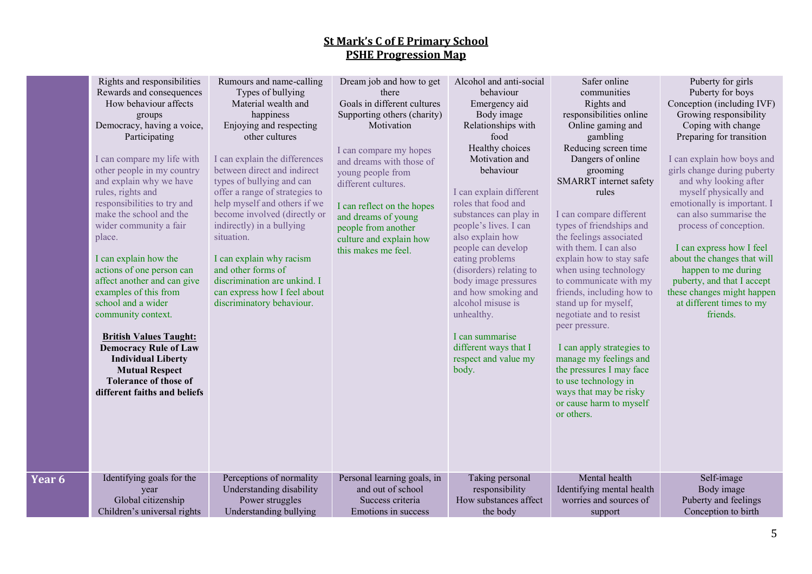| Rights and responsibilities<br>Rewards and consequences<br>How behaviour affects<br>groups<br>Democracy, having a voice,<br>Participating<br>I can compare my life with<br>other people in my country<br>and explain why we have<br>rules, rights and<br>responsibilities to try and<br>make the school and the<br>wider community a fair<br>place.<br>I can explain how the<br>actions of one person can<br>affect another and can give<br>examples of this from<br>school and a wider<br>community context.<br><b>British Values Taught:</b><br><b>Democracy Rule of Law</b><br><b>Individual Liberty</b><br><b>Mutual Respect</b><br><b>Tolerance of those of</b><br>different faiths and beliefs | Rumours and name-calling<br>Types of bullying<br>Material wealth and<br>happiness<br>Enjoying and respecting<br>other cultures<br>I can explain the differences<br>between direct and indirect<br>types of bullying and can<br>offer a range of strategies to<br>help myself and others if we<br>become involved (directly or<br>indirectly) in a bullying<br>situation.<br>I can explain why racism<br>and other forms of<br>discrimination are unkind. I<br>can express how I feel about<br>discriminatory behaviour. | Dream job and how to get<br>there<br>Goals in different cultures<br>Supporting others (charity)<br>Motivation<br>I can compare my hopes<br>and dreams with those of<br>young people from<br>different cultures.<br>I can reflect on the hopes<br>and dreams of young<br>people from another<br>culture and explain how<br>this makes me feel. | Alcohol and anti-social<br>behaviour<br>Emergency aid<br>Body image<br>Relationships with<br>food<br>Healthy choices<br>Motivation and<br>behaviour<br>I can explain different<br>roles that food and<br>substances can play in<br>people's lives. I can<br>also explain how<br>people can develop<br>eating problems<br>(disorders) relating to<br>body image pressures<br>and how smoking and<br>alcohol misuse is<br>unhealthy.<br>I can summarise<br>different ways that I<br>respect and value my<br>body. | Safer online<br>communities<br>Rights and<br>responsibilities online<br>Online gaming and<br>gambling<br>Reducing screen time<br>Dangers of online<br>grooming<br>SMARRT internet safety<br>rules<br>I can compare different<br>types of friendships and<br>the feelings associated<br>with them. I can also<br>explain how to stay safe<br>when using technology<br>to communicate with my<br>friends, including how to<br>stand up for myself,<br>negotiate and to resist<br>peer pressure.<br>I can apply strategies to<br>manage my feelings and<br>the pressures I may face<br>to use technology in<br>ways that may be risky<br>or cause harm to myself<br>or others. | Puberty for girls<br>Puberty for boys<br>Conception (including IVF)<br>Growing responsibility<br>Coping with change<br>Preparing for transition<br>I can explain how boys and<br>girls change during puberty<br>and why looking after<br>myself physically and<br>emotionally is important. I<br>can also summarise the<br>process of conception.<br>I can express how I feel<br>about the changes that will<br>happen to me during<br>puberty, and that I accept<br>these changes might happen<br>at different times to my<br>friends. |
|------------------------------------------------------------------------------------------------------------------------------------------------------------------------------------------------------------------------------------------------------------------------------------------------------------------------------------------------------------------------------------------------------------------------------------------------------------------------------------------------------------------------------------------------------------------------------------------------------------------------------------------------------------------------------------------------------|-------------------------------------------------------------------------------------------------------------------------------------------------------------------------------------------------------------------------------------------------------------------------------------------------------------------------------------------------------------------------------------------------------------------------------------------------------------------------------------------------------------------------|-----------------------------------------------------------------------------------------------------------------------------------------------------------------------------------------------------------------------------------------------------------------------------------------------------------------------------------------------|-----------------------------------------------------------------------------------------------------------------------------------------------------------------------------------------------------------------------------------------------------------------------------------------------------------------------------------------------------------------------------------------------------------------------------------------------------------------------------------------------------------------|-----------------------------------------------------------------------------------------------------------------------------------------------------------------------------------------------------------------------------------------------------------------------------------------------------------------------------------------------------------------------------------------------------------------------------------------------------------------------------------------------------------------------------------------------------------------------------------------------------------------------------------------------------------------------------|-----------------------------------------------------------------------------------------------------------------------------------------------------------------------------------------------------------------------------------------------------------------------------------------------------------------------------------------------------------------------------------------------------------------------------------------------------------------------------------------------------------------------------------------|
| Identifying goals for the                                                                                                                                                                                                                                                                                                                                                                                                                                                                                                                                                                                                                                                                            | Perceptions of normality                                                                                                                                                                                                                                                                                                                                                                                                                                                                                                | Personal learning goals, in                                                                                                                                                                                                                                                                                                                   | Taking personal                                                                                                                                                                                                                                                                                                                                                                                                                                                                                                 | Mental health                                                                                                                                                                                                                                                                                                                                                                                                                                                                                                                                                                                                                                                               | Self-image                                                                                                                                                                                                                                                                                                                                                                                                                                                                                                                              |
| year                                                                                                                                                                                                                                                                                                                                                                                                                                                                                                                                                                                                                                                                                                 | Understanding disability                                                                                                                                                                                                                                                                                                                                                                                                                                                                                                | and out of school                                                                                                                                                                                                                                                                                                                             | responsibility                                                                                                                                                                                                                                                                                                                                                                                                                                                                                                  | Identifying mental health                                                                                                                                                                                                                                                                                                                                                                                                                                                                                                                                                                                                                                                   | Body image                                                                                                                                                                                                                                                                                                                                                                                                                                                                                                                              |
| Global citizenship                                                                                                                                                                                                                                                                                                                                                                                                                                                                                                                                                                                                                                                                                   | Power struggles                                                                                                                                                                                                                                                                                                                                                                                                                                                                                                         | Success criteria                                                                                                                                                                                                                                                                                                                              | How substances affect                                                                                                                                                                                                                                                                                                                                                                                                                                                                                           | worries and sources of                                                                                                                                                                                                                                                                                                                                                                                                                                                                                                                                                                                                                                                      | Puberty and feelings                                                                                                                                                                                                                                                                                                                                                                                                                                                                                                                    |
| Children's universal rights                                                                                                                                                                                                                                                                                                                                                                                                                                                                                                                                                                                                                                                                          | Understanding bullying                                                                                                                                                                                                                                                                                                                                                                                                                                                                                                  | Emotions in success                                                                                                                                                                                                                                                                                                                           | the body                                                                                                                                                                                                                                                                                                                                                                                                                                                                                                        | support                                                                                                                                                                                                                                                                                                                                                                                                                                                                                                                                                                                                                                                                     | Conception to birth                                                                                                                                                                                                                                                                                                                                                                                                                                                                                                                     |

**Year 6**